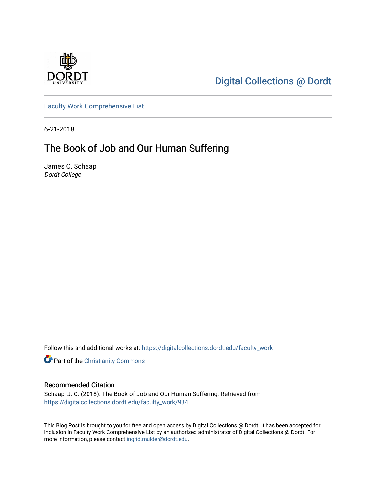

[Digital Collections @ Dordt](https://digitalcollections.dordt.edu/) 

[Faculty Work Comprehensive List](https://digitalcollections.dordt.edu/faculty_work)

6-21-2018

## The Book of Job and Our Human Suffering

James C. Schaap Dordt College

Follow this and additional works at: [https://digitalcollections.dordt.edu/faculty\\_work](https://digitalcollections.dordt.edu/faculty_work?utm_source=digitalcollections.dordt.edu%2Ffaculty_work%2F934&utm_medium=PDF&utm_campaign=PDFCoverPages) 

**Part of the Christianity Commons** 

#### Recommended Citation

Schaap, J. C. (2018). The Book of Job and Our Human Suffering. Retrieved from [https://digitalcollections.dordt.edu/faculty\\_work/934](https://digitalcollections.dordt.edu/faculty_work/934?utm_source=digitalcollections.dordt.edu%2Ffaculty_work%2F934&utm_medium=PDF&utm_campaign=PDFCoverPages) 

This Blog Post is brought to you for free and open access by Digital Collections @ Dordt. It has been accepted for inclusion in Faculty Work Comprehensive List by an authorized administrator of Digital Collections @ Dordt. For more information, please contact [ingrid.mulder@dordt.edu.](mailto:ingrid.mulder@dordt.edu)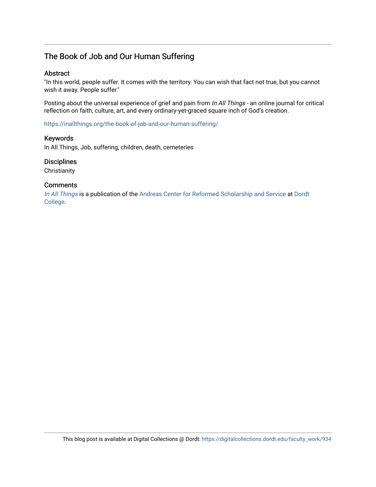### The Book of Job and Our Human Suffering

#### Abstract

"In this world, people suffer. It comes with the territory. You can wish that fact not true, but you cannot wish it away. People suffer."

Posting about the universal experience of grief and pain from In All Things - an online journal for critical reflection on faith, culture, art, and every ordinary-yet-graced square inch of God's creation.

<https://inallthings.org/the-book-of-job-and-our-human-suffering/>

#### Keywords

In All Things, Job, suffering, children, death, cemeteries

#### **Disciplines**

**Christianity** 

#### **Comments**

[In All Things](http://inallthings.org/) is a publication of the [Andreas Center for Reformed Scholarship and Service](http://www.dordt.edu/services_support/andreas_center/) at Dordt [College](http://www.dordt.edu/).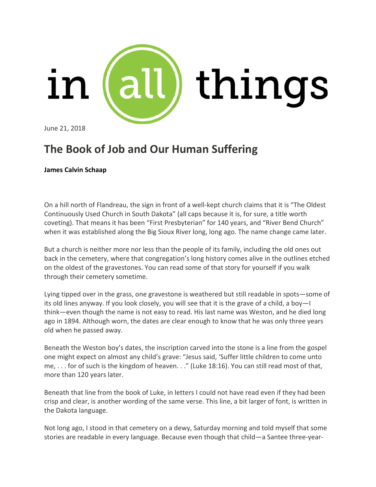

June 21, 2018

# **The Book of Job and Our Human Suffering**

#### **James Calvin [Schaap](https://inallthings.org/contributor/james-calvin-schaap/)**

On a hill north of Flandreau, the sign in front of a well-kept church claims that it is "The Oldest Continuously Used Church in South Dakota" (all caps because it is, for sure, a title worth coveting). That means it has been "First Presbyterian" for 140 years, and "River Bend Church" when it was established along the Big Sioux River long, long ago. The name change came later.

But a church is neither more nor less than the people of its family, including the old ones out back in the cemetery, where that congregation's long history comes alive in the outlines etched on the oldest of the gravestones. You can read some of that story for yourself if you walk through their cemetery sometime.

Lying tipped over in the grass, one gravestone is weathered but still readable in spots—some of its old lines anyway. If you look closely, you will see that it is the grave of a child, a boy—I think—even though the name is not easy to read. His last name was Weston, and he died long ago in 1894. Although worn, the dates are clear enough to know that he was only three years old when he passed away.

Beneath the Weston boy's dates, the inscription carved into the stone is a line from the gospel one might expect on almost any child's grave: "Jesus said, 'Suffer little children to come unto me, . . . for of such is the kingdom of heaven. . ." (Luke 18:16). You can still read most of that, more than 120 years later.

Beneath that line from the book of Luke, in letters I could not have read even if they had been crisp and clear, is another wording of the same verse. This line, a bit larger of font, is written in the Dakota language.

Not long ago, I stood in that cemetery on a dewy, Saturday morning and told myself that some stories are readable in every language. Because even though that child—a Santee three-year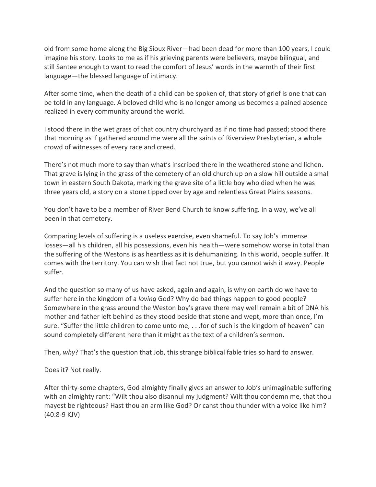old from some home along the Big Sioux River—had been dead for more than 100 years, I could imagine his story. Looks to me as if his grieving parents were believers, maybe bilingual, and still Santee enough to want to read the comfort of Jesus' words in the warmth of their first language—the blessed language of intimacy.

After some time, when the death of a child can be spoken of, that story of grief is one that can be told in any language. A beloved child who is no longer among us becomes a pained absence realized in every community around the world.

I stood there in the wet grass of that country churchyard as if no time had passed; stood there that morning as if gathered around me were all the saints of Riverview Presbyterian, a whole crowd of witnesses of every race and creed.

There's not much more to say than what's inscribed there in the weathered stone and lichen. That grave is lying in the grass of the cemetery of an old church up on a slow hill outside a small town in eastern South Dakota, marking the grave site of a little boy who died when he was three years old, a story on a stone tipped over by age and relentless Great Plains seasons.

You don't have to be a member of River Bend Church to know suffering. In a way, we've all been in that cemetery.

Comparing levels of suffering is a useless exercise, even shameful. To say Job's immense losses—all his children, all his possessions, even his health—were somehow worse in total than the suffering of the Westons is as heartless as it is dehumanizing. In this world, people suffer. It comes with the territory. You can wish that fact not true, but you cannot wish it away. People suffer.

And the question so many of us have asked, again and again, is why on earth do we have to suffer here in the kingdom of a *loving* God? Why do bad things happen to good people? Somewhere in the grass around the Weston boy's grave there may well remain a bit of DNA his mother and father left behind as they stood beside that stone and wept, more than once, I'm sure. "Suffer the little children to come unto me, . . .for of such is the kingdom of heaven" can sound completely different here than it might as the text of a children's sermon.

Then, *why*? That's the question that Job, this strange biblical fable tries so hard to answer.

Does it? Not really.

After thirty-some chapters, God almighty finally gives an answer to Job's unimaginable suffering with an almighty rant: "Wilt thou also disannul my judgment? Wilt thou condemn me, that thou mayest be righteous? Hast thou an arm like God? Or canst thou thunder with a voice like him? (40:8-9 KJV)